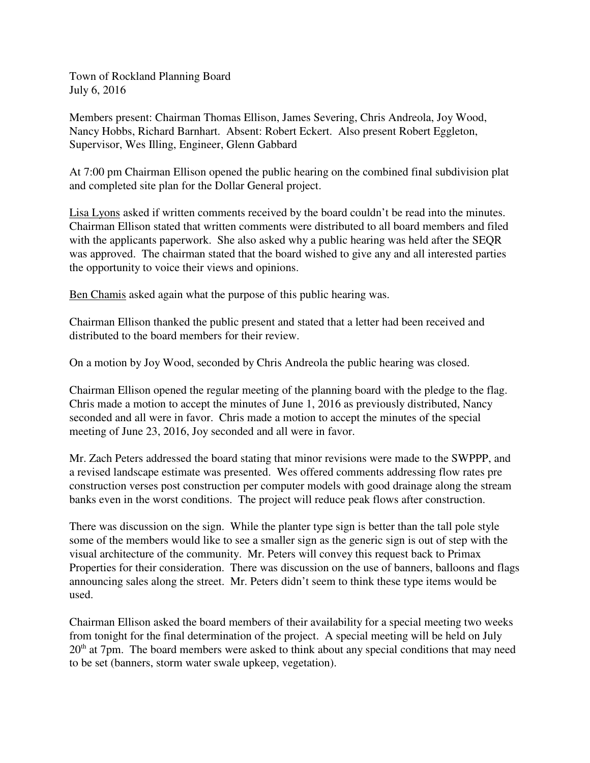Town of Rockland Planning Board July 6, 2016

Members present: Chairman Thomas Ellison, James Severing, Chris Andreola, Joy Wood, Nancy Hobbs, Richard Barnhart. Absent: Robert Eckert. Also present Robert Eggleton, Supervisor, Wes Illing, Engineer, Glenn Gabbard

At 7:00 pm Chairman Ellison opened the public hearing on the combined final subdivision plat and completed site plan for the Dollar General project.

Lisa Lyons asked if written comments received by the board couldn't be read into the minutes. Chairman Ellison stated that written comments were distributed to all board members and filed with the applicants paperwork. She also asked why a public hearing was held after the SEQR was approved. The chairman stated that the board wished to give any and all interested parties the opportunity to voice their views and opinions.

Ben Chamis asked again what the purpose of this public hearing was.

Chairman Ellison thanked the public present and stated that a letter had been received and distributed to the board members for their review.

On a motion by Joy Wood, seconded by Chris Andreola the public hearing was closed.

Chairman Ellison opened the regular meeting of the planning board with the pledge to the flag. Chris made a motion to accept the minutes of June 1, 2016 as previously distributed, Nancy seconded and all were in favor. Chris made a motion to accept the minutes of the special meeting of June 23, 2016, Joy seconded and all were in favor.

Mr. Zach Peters addressed the board stating that minor revisions were made to the SWPPP, and a revised landscape estimate was presented. Wes offered comments addressing flow rates pre construction verses post construction per computer models with good drainage along the stream banks even in the worst conditions. The project will reduce peak flows after construction.

There was discussion on the sign. While the planter type sign is better than the tall pole style some of the members would like to see a smaller sign as the generic sign is out of step with the visual architecture of the community. Mr. Peters will convey this request back to Primax Properties for their consideration. There was discussion on the use of banners, balloons and flags announcing sales along the street. Mr. Peters didn't seem to think these type items would be used.

Chairman Ellison asked the board members of their availability for a special meeting two weeks from tonight for the final determination of the project. A special meeting will be held on July  $20<sup>th</sup>$  at 7pm. The board members were asked to think about any special conditions that may need to be set (banners, storm water swale upkeep, vegetation).